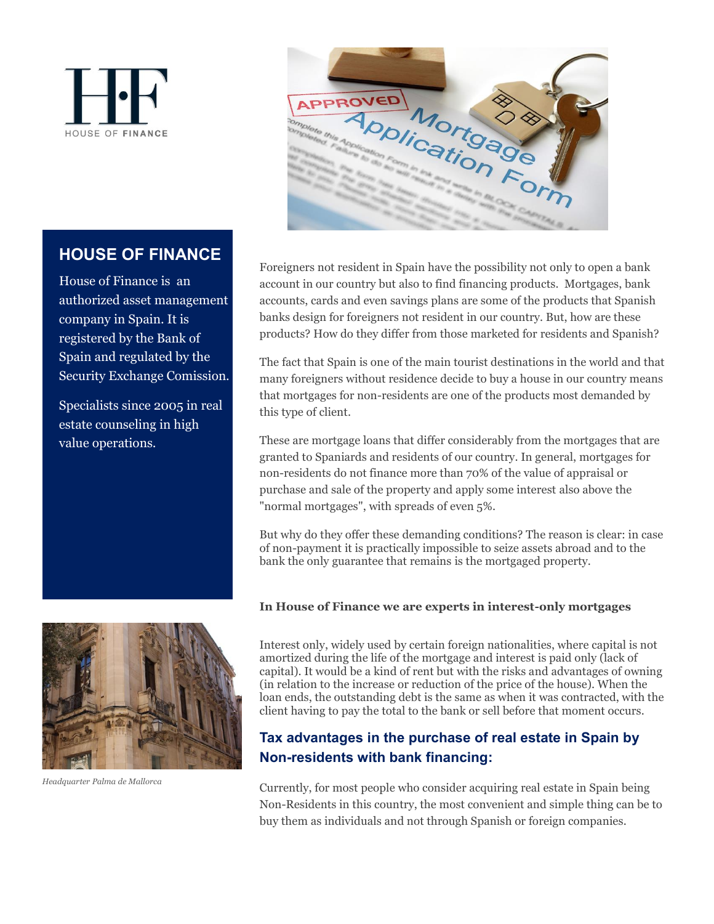



# **HOUSE OF FINANCE**

House of Finance is an authorized asset management company in Spain. It is registered by the Bank of Spain and regulated by the Security Exchange Comission.

Specialists since 2005 in real estate counseling in high value operations.



*Headquarter Palma de Mallorca*

Foreigners not resident in Spain have the possibility not only to open a bank account in our country but also to find financing products. Mortgages, bank accounts, cards and even savings plans are some of the products that Spanish banks design for foreigners not resident in our country. But, how are these products? How do they differ from those marketed for residents and Spanish?

The fact that Spain is one of the main tourist destinations in the world and that many foreigners without residence decide to buy a house in our country means that mortgages for non-residents are one of the products most demanded by this type of client.

These are mortgage loans that differ considerably from the mortgages that are granted to Spaniards and residents of our country. In general, mortgages for non-residents do not finance more than 70% of the value of appraisal or purchase and sale of the property and apply some interest also above the "normal mortgages", with spreads of even 5%.

But why do they offer these demanding conditions? The reason is clear: in case of non-payment it is practically impossible to seize assets abroad and to the bank the only guarantee that remains is the mortgaged property.

#### **In House of Finance we are experts in interest-only mortgages**

Interest only, widely used by certain foreign nationalities, where capital is not amortized during the life of the mortgage and interest is paid only (lack of capital). It would be a kind of rent but with the risks and advantages of owning (in relation to the increase or reduction of the price of the house). When the loan ends, the outstanding debt is the same as when it was contracted, with the client having to pay the total to the bank or sell before that moment occurs.

## **Tax advantages in the purchase of real estate in Spain by Non-residents with bank financing:**

Currently, for most people who consider acquiring real estate in Spain being Non-Residents in this country, the most convenient and simple thing can be to buy them as individuals and not through Spanish or foreign companies.